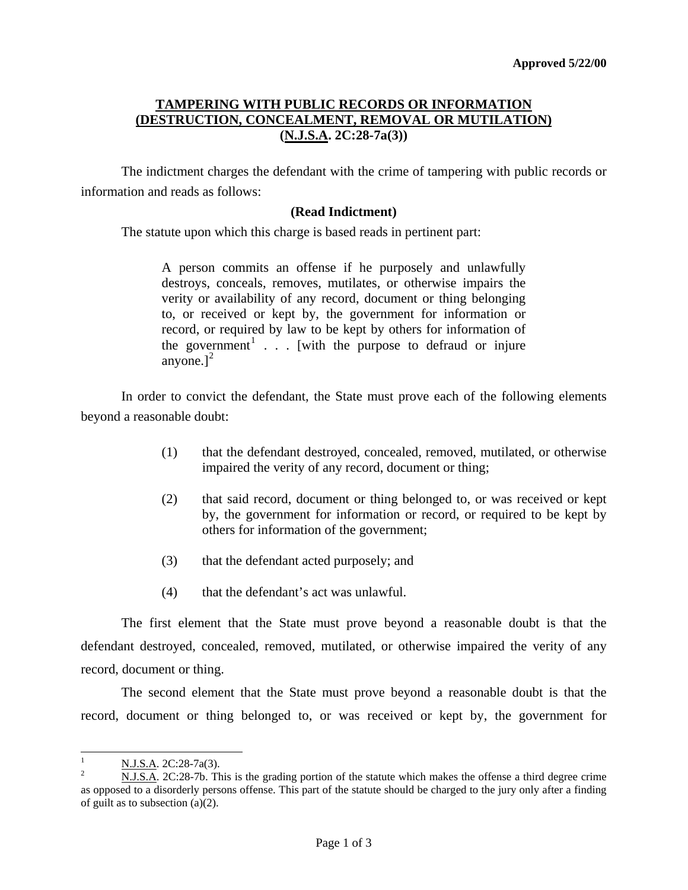## **TAMPERING WITH PUBLIC RECORDS OR INFORMATION (DESTRUCTION, CONCEALMENT, REMOVAL OR MUTILATION) (N.J.S.A. 2C:28-7a(3))**

 The indictment charges the defendant with the crime of tampering with public records or information and reads as follows:

## **(Read Indictment)**

The statute upon which this charge is based reads in pertinent part:

A person commits an offense if he purposely and unlawfully destroys, conceals, removes, mutilates, or otherwise impairs the verity or availability of any record, document or thing belonging to, or received or kept by, the government for information or record, or required by law to be kept by others for information of the government<sup>[1](#page-0-0)</sup> . . . [with the purpose to defraud or injure anyone.] $<sup>2</sup>$  $<sup>2</sup>$  $<sup>2</sup>$ </sup>

 In order to convict the defendant, the State must prove each of the following elements beyond a reasonable doubt:

- (1) that the defendant destroyed, concealed, removed, mutilated, or otherwise impaired the verity of any record, document or thing;
- (2) that said record, document or thing belonged to, or was received or kept by, the government for information or record, or required to be kept by others for information of the government;
- (3) that the defendant acted purposely; and
- (4) that the defendant's act was unlawful.

 The first element that the State must prove beyond a reasonable doubt is that the defendant destroyed, concealed, removed, mutilated, or otherwise impaired the verity of any record, document or thing.

 The second element that the State must prove beyond a reasonable doubt is that the record, document or thing belonged to, or was received or kept by, the government for

<span id="page-0-0"></span> $\frac{1}{1}$  $\frac{N. J.S.A.}{N. J.S.A.}$  2C:28-7a(3).

<span id="page-0-1"></span>N.J.S.A. 2C:28-7b. This is the grading portion of the statute which makes the offense a third degree crime as opposed to a disorderly persons offense. This part of the statute should be charged to the jury only after a finding of guilt as to subsection (a)(2).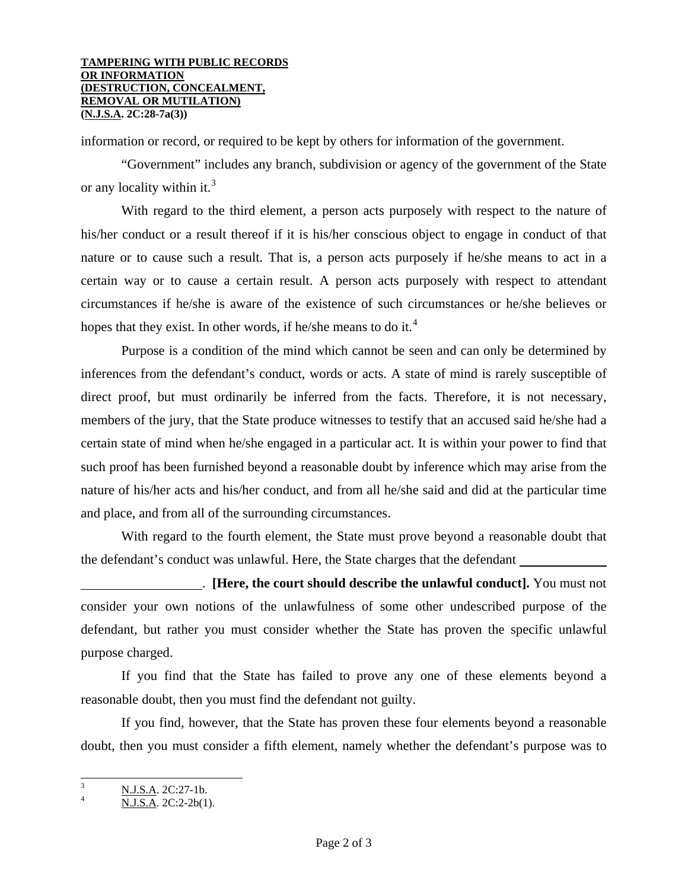information or record, or required to be kept by others for information of the government.

 "Government" includes any branch, subdivision or agency of the government of the State or any locality within it.<sup>[3](#page-1-0)</sup>

 With regard to the third element, a person acts purposely with respect to the nature of his/her conduct or a result thereof if it is his/her conscious object to engage in conduct of that nature or to cause such a result. That is, a person acts purposely if he/she means to act in a certain way or to cause a certain result. A person acts purposely with respect to attendant circumstances if he/she is aware of the existence of such circumstances or he/she believes or hopes that they exist. In other words, if he/she means to do it.<sup>[4](#page-1-1)</sup>

 Purpose is a condition of the mind which cannot be seen and can only be determined by inferences from the defendant's conduct, words or acts. A state of mind is rarely susceptible of direct proof, but must ordinarily be inferred from the facts. Therefore, it is not necessary, members of the jury, that the State produce witnesses to testify that an accused said he/she had a certain state of mind when he/she engaged in a particular act. It is within your power to find that such proof has been furnished beyond a reasonable doubt by inference which may arise from the nature of his/her acts and his/her conduct, and from all he/she said and did at the particular time and place, and from all of the surrounding circumstances.

 With regard to the fourth element, the State must prove beyond a reasonable doubt that the defendant's conduct was unlawful. Here, the State charges that the defendant

 . **[Here, the court should describe the unlawful conduct].** You must not consider your own notions of the unlawfulness of some other undescribed purpose of the defendant, but rather you must consider whether the State has proven the specific unlawful purpose charged.

 If you find that the State has failed to prove any one of these elements beyond a reasonable doubt, then you must find the defendant not guilty.

 If you find, however, that the State has proven these four elements beyond a reasonable doubt, then you must consider a fifth element, namely whether the defendant's purpose was to

<span id="page-1-0"></span> 3  $\frac{N.J.S.A.}{N.I.S.A.}$  2C:27-1b.

<span id="page-1-1"></span>N.J.S.A. 2C:2-2b(1).